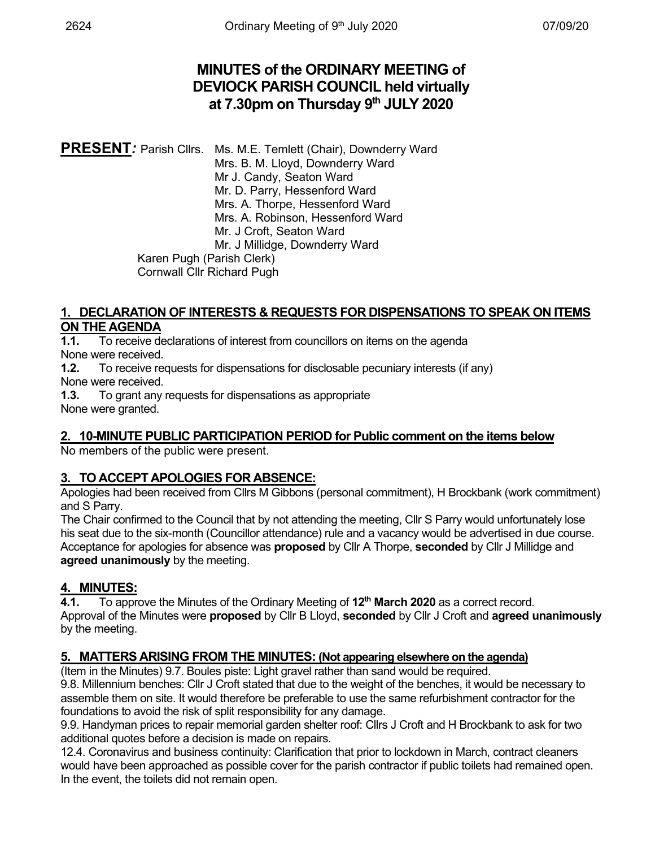# **MINUTES of the ORDINARY MEETING of DEVIOCK PARISH COUNCIL held virtually at 7.30pm on Thursday 9th JULY 2020**

**PRESENT***:* Parish Cllrs. Ms. M.E. Temlett (Chair), Downderry Ward Mrs. B. M. Lloyd, Downderry Ward Mr J. Candy, Seaton Ward Mr. D. Parry, Hessenford Ward Mrs. A. Thorpe, Hessenford Ward Mrs. A. Robinson, Hessenford Ward Mr. J Croft, Seaton Ward Mr. J Millidge, Downderry Ward Karen Pugh (Parish Clerk) Cornwall Cllr Richard Pugh

### **1. DECLARATION OF INTERESTS & REQUESTS FOR DISPENSATIONS TO SPEAK ON ITEMS ON THE AGENDA**

**1.1.** To receive declarations of interest from councillors on items on the agenda None were received.<br>1.2. To receive real

**1.2.** To receive requests for dispensations for disclosable pecuniary interests (if any) None were received.

**1.3.** To grant any requests for dispensations as appropriate None were granted.

# **2. 10-MINUTE PUBLIC PARTICIPATION PERIOD for Public comment on the items below**

No members of the public were present.

# **3. TO ACCEPT APOLOGIES FOR ABSENCE:**

Apologies had been received from Cllrs M Gibbons (personal commitment), H Brockbank (work commitment) and S Parry.

The Chair confirmed to the Council that by not attending the meeting, Cllr S Parry would unfortunately lose his seat due to the six-month (Councillor attendance) rule and a vacancy would be advertised in due course. Acceptance for apologies for absence was **proposed** by Cllr A Thorpe, **seconded** by Cllr J Millidge and **agreed unanimously** by the meeting.

# **4. MINUTES:**

**4.1.** To approve the Minutes of the Ordinary Meeting of **12th March 2020** as a correct record. Approval of the Minutes were **proposed** by Cllr B Lloyd, **seconded** by Cllr J Croft and **agreed unanimously** by the meeting.

# **5. MATTERS ARISING FROM THE MINUTES: (Not appearing elsewhere on the agenda)**

(Item in the Minutes) 9.7. Boules piste: Light gravel rather than sand would be required.

9.8. Millennium benches: Cllr J Croft stated that due to the weight of the benches, it would be necessary to assemble them on site. It would therefore be preferable to use the same refurbishment contractor for the foundations to avoid the risk of split responsibility for any damage.

9.9. Handyman prices to repair memorial garden shelter roof: Cllrs J Croft and H Brockbank to ask for two additional quotes before a decision is made on repairs.

12.4. Coronavirus and business continuity: Clarification that prior to lockdown in March, contract cleaners would have been approached as possible cover for the parish contractor if public toilets had remained open. In the event, the toilets did not remain open.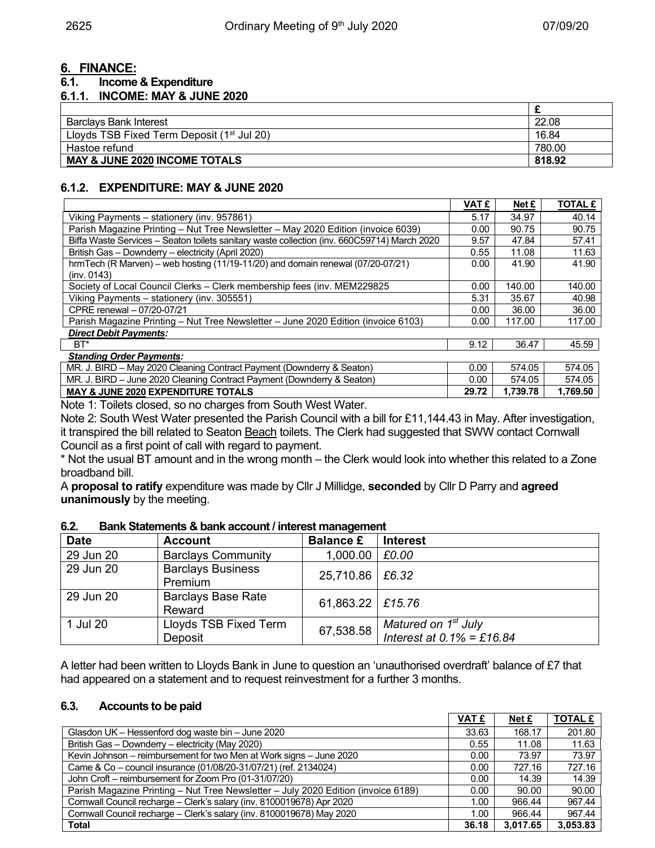#### **6. FINANCE: 6.1. Income & Expenditure**

# **6.1.1. INCOME: MAY & JUNE 2020**

| Barclavs Bank Interest                                 | 22.08  |
|--------------------------------------------------------|--------|
| Llovds TSB Fixed Term Deposit (1 <sup>st</sup> Jul 20) | 16.84  |
| Hastoe refund                                          | 780.00 |
| <b>MAY &amp; JUNE 2020 INCOME TOTALS</b>               | 818.92 |

### **6.1.2. EXPENDITURE: MAY & JUNE 2020**

|                                                                                             | <b>VAT £</b> | Net £    | <b>TOTAL £</b> |  |
|---------------------------------------------------------------------------------------------|--------------|----------|----------------|--|
| Viking Payments - stationery (inv. 957861)                                                  | 5.17         | 34.97    | 40.14          |  |
| Parish Magazine Printing - Nut Tree Newsletter - May 2020 Edition (invoice 6039)            | 0.00         | 90.75    | 90.75          |  |
| Biffa Waste Services - Seaton toilets sanitary waste collection (inv. 660C59714) March 2020 | 9.57         | 47.84    | 57.41          |  |
| British Gas - Downderry - electricity (April 2020)                                          | 0.55         | 11.08    | 11.63          |  |
| hrmTech (R Marven) – web hosting (11/19-11/20) and domain renewal (07/20-07/21)             |              | 41.90    | 41.90          |  |
| (inv. 0143)                                                                                 |              |          |                |  |
| Society of Local Council Clerks - Clerk membership fees (inv. MEM229825                     | 0.00         | 140.00   | 140.00         |  |
| Viking Payments - stationery (inv. 305551)                                                  | 5.31         | 35.67    | 40.98          |  |
| CPRE renewal - 07/20-07/21                                                                  | 0.00         | 36.00    | 36.00          |  |
| Parish Magazine Printing – Nut Tree Newsletter – June 2020 Edition (invoice 6103)           | 0.00         | 117.00   | 117.00         |  |
| <b>Direct Debit Payments:</b>                                                               |              |          |                |  |
| $BT^*$                                                                                      | 9.12         | 36.47    | 45.59          |  |
| <b>Standing Order Payments:</b>                                                             |              |          |                |  |
| MR. J. BIRD – May 2020 Cleaning Contract Payment (Downderry & Seaton)                       | 0.00         | 574.05   | 574.05         |  |
| MR. J. BIRD - June 2020 Cleaning Contract Payment (Downderry & Seaton)                      | 0.00         | 574.05   | 574.05         |  |
| <b>MAY &amp; JUNE 2020 EXPENDITURE TOTALS</b>                                               | 29.72        | 1.739.78 | 1,769.50       |  |

Note 1: Toilets closed, so no charges from South West Water.

Note 2: South West Water presented the Parish Council with a bill for £11,144.43 in May. After investigation, it transpired the bill related to Seaton Beach toilets. The Clerk had suggested that SWW contact Cornwall Council as a first point of call with regard to payment.

\* Not the usual BT amount and in the wrong month – the Clerk would look into whether this related to a Zone broadband bill.

A **proposal to ratify** expenditure was made by Cllr J Millidge, **seconded** by Cllr D Parry and **agreed unanimously** by the meeting.

| 6.2.<br>Bank Statements & bank account / interest management |
|--------------------------------------------------------------|
|--------------------------------------------------------------|

| .           |                                     |                    |                                                              |  |  |  |
|-------------|-------------------------------------|--------------------|--------------------------------------------------------------|--|--|--|
| <b>Date</b> | <b>Account</b>                      | <b>Balance £</b>   | <b>Interest</b>                                              |  |  |  |
| 29 Jun 20   | <b>Barclays Community</b>           | 1,000.00           | £0.00                                                        |  |  |  |
| 29 Jun 20   | <b>Barclays Business</b><br>Premium | 25,710.86   £6.32  |                                                              |  |  |  |
| 29 Jun 20   | <b>Barclays Base Rate</b><br>Reward | 61,863.22   £15.76 |                                                              |  |  |  |
| 1 Jul 20    | Lloyds TSB Fixed Term<br>Deposit    | 67,538.58          | Matured on 1 <sup>st</sup> July<br>Interest at 0.1% = £16.84 |  |  |  |

A letter had been written to Lloyds Bank in June to question an 'unauthorised overdraft' balance of £7 that had appeared on a statement and to request reinvestment for a further 3 months.

#### **6.3. Accounts to be paid**

|                                                                                   | <u>VAT £</u> | <u>Net £</u> | <b>TOTAL £</b> |
|-----------------------------------------------------------------------------------|--------------|--------------|----------------|
| Glasdon UK - Hessenford dog waste bin - June 2020                                 | 33.63        | 168.17       | 201.80         |
| British Gas - Downderry - electricity (May 2020)                                  | 0.55         | 11.08        | 11.63          |
| Kevin Johnson – reimbursement for two Men at Work signs – June 2020               | 0.00         | 73.97        | 73.97          |
| Came & Co - council insurance (01/08/20-31/07/21) (ref. 2134024)                  | 0.00         | 727.16       | 727.16         |
| John Croft - reimbursement for Zoom Pro (01-31/07/20)                             | 0.00         | 14.39        | 14.39          |
| Parish Magazine Printing - Nut Tree Newsletter - July 2020 Edition (invoice 6189) | 0.00         | 90.00        | 90.00          |
| Cornwall Council recharge - Clerk's salary (inv. 8100019678) Apr 2020             | 1.00         | 966.44       | 967.44         |
| Cornwall Council recharge - Clerk's salary (inv. 8100019678) May 2020             | 1.00         | 966.44       | 967.44         |
| <b>Total</b>                                                                      | 36.18        | 3.017.65     | 3.053.83       |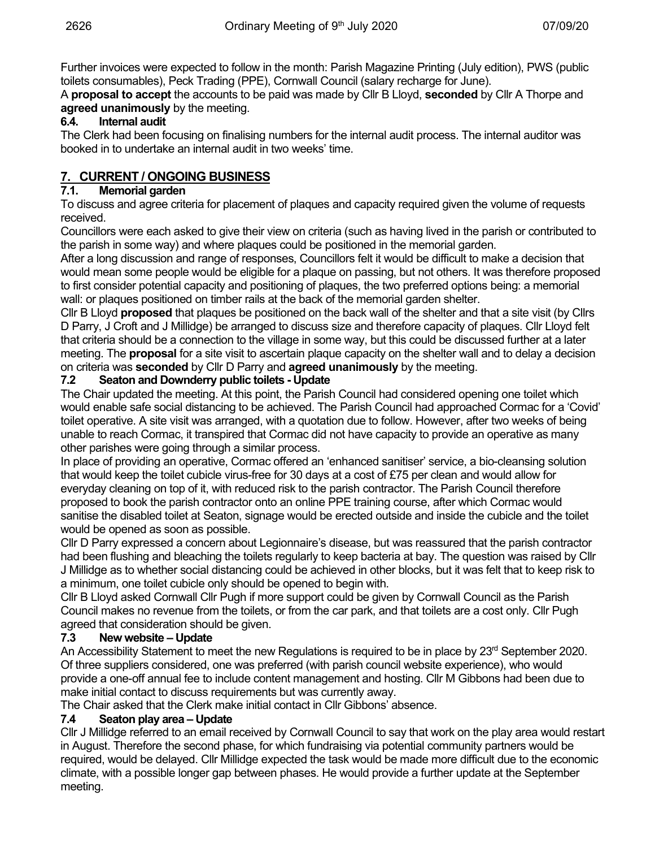Further invoices were expected to follow in the month: Parish Magazine Printing (July edition), PWS (public toilets consumables), Peck Trading (PPE), Cornwall Council (salary recharge for June).

A **proposal to accept** the accounts to be paid was made by Cllr B Lloyd, **seconded** by Cllr A Thorpe and **agreed unanimously** by the meeting.

### **6.4. Internal audit**

The Clerk had been focusing on finalising numbers for the internal audit process. The internal auditor was booked in to undertake an internal audit in two weeks' time.

## **7. CURRENT / ONGOING BUSINESS**

#### **7.1. Memorial garden**

To discuss and agree criteria for placement of plaques and capacity required given the volume of requests received.

Councillors were each asked to give their view on criteria (such as having lived in the parish or contributed to the parish in some way) and where plaques could be positioned in the memorial garden.

After a long discussion and range of responses, Councillors felt it would be difficult to make a decision that would mean some people would be eligible for a plaque on passing, but not others. It was therefore proposed to first consider potential capacity and positioning of plaques, the two preferred options being: a memorial wall: or plaques positioned on timber rails at the back of the memorial garden shelter.

Cllr B Lloyd **proposed** that plaques be positioned on the back wall of the shelter and that a site visit (by Cllrs D Parry, J Croft and J Millidge) be arranged to discuss size and therefore capacity of plaques. Cllr Lloyd felt that criteria should be a connection to the village in some way, but this could be discussed further at a later meeting. The **proposal** for a site visit to ascertain plaque capacity on the shelter wall and to delay a decision on criteria was **seconded** by Cllr D Parry and **agreed unanimously** by the meeting.

#### **7.2 Seaton and Downderry public toilets - Update**

The Chair updated the meeting. At this point, the Parish Council had considered opening one toilet which would enable safe social distancing to be achieved. The Parish Council had approached Cormac for a 'Covid' toilet operative. A site visit was arranged, with a quotation due to follow. However, after two weeks of being unable to reach Cormac, it transpired that Cormac did not have capacity to provide an operative as many other parishes were going through a similar process.

In place of providing an operative, Cormac offered an 'enhanced sanitiser' service, a bio-cleansing solution that would keep the toilet cubicle virus-free for 30 days at a cost of £75 per clean and would allow for everyday cleaning on top of it, with reduced risk to the parish contractor. The Parish Council therefore proposed to book the parish contractor onto an online PPE training course, after which Cormac would sanitise the disabled toilet at Seaton, signage would be erected outside and inside the cubicle and the toilet would be opened as soon as possible.

Cllr D Parry expressed a concern about Legionnaire's disease, but was reassured that the parish contractor had been flushing and bleaching the toilets regularly to keep bacteria at bay. The question was raised by Cllr J Millidge as to whether social distancing could be achieved in other blocks, but it was felt that to keep risk to a minimum, one toilet cubicle only should be opened to begin with.

Cllr B Lloyd asked Cornwall Cllr Pugh if more support could be given by Cornwall Council as the Parish Council makes no revenue from the toilets, or from the car park, and that toilets are a cost only. Cllr Pugh agreed that consideration should be given.

#### **7.3 New website – Update**

An Accessibility Statement to meet the new Regulations is required to be in place by 23rd September 2020. Of three suppliers considered, one was preferred (with parish council website experience), who would provide a one-off annual fee to include content management and hosting. Cllr M Gibbons had been due to make initial contact to discuss requirements but was currently away.

The Chair asked that the Clerk make initial contact in Cllr Gibbons' absence.

#### **7.4 Seaton play area – Update**

Cllr J Millidge referred to an email received by Cornwall Council to say that work on the play area would restart in August. Therefore the second phase, for which fundraising via potential community partners would be required, would be delayed. Cllr Millidge expected the task would be made more difficult due to the economic climate, with a possible longer gap between phases. He would provide a further update at the September meeting.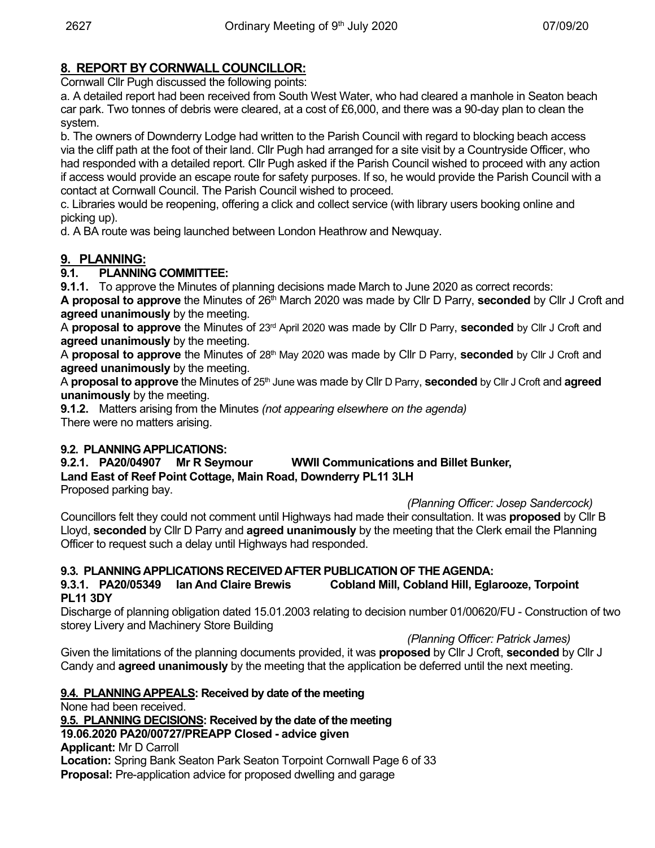# **8. REPORT BY CORNWALL COUNCILLOR:**

Cornwall Cllr Pugh discussed the following points:

a. A detailed report had been received from South West Water, who had cleared a manhole in Seaton beach car park. Two tonnes of debris were cleared, at a cost of £6,000, and there was a 90-day plan to clean the system.

b. The owners of Downderry Lodge had written to the Parish Council with regard to blocking beach access via the cliff path at the foot of their land. Cllr Pugh had arranged for a site visit by a Countryside Officer, who had responded with a detailed report. Cllr Pugh asked if the Parish Council wished to proceed with any action if access would provide an escape route for safety purposes. If so, he would provide the Parish Council with a contact at Cornwall Council. The Parish Council wished to proceed.

c. Libraries would be reopening, offering a click and collect service (with library users booking online and picking up).

d. A BA route was being launched between London Heathrow and Newquay.

# **9. PLANNING:**

#### **9.1. PLANNING COMMITTEE:**

**9.1.1.** To approve the Minutes of planning decisions made March to June 2020 as correct records:

**A proposal to approve** the Minutes of 26th March 2020 was made by Cllr D Parry, **seconded** by Cllr J Croft and **agreed unanimously** by the meeting.

A **proposal to approve** the Minutes of 23rd April 2020 was made by Cllr D Parry, **seconded** by Cllr J Croft and **agreed unanimously** by the meeting.

A **proposal to approve** the Minutes of 28th May 2020 was made by Cllr D Parry, **seconded** by Cllr J Croft and **agreed unanimously** by the meeting.

A **proposal to approve** the Minutes of 25th June was made by Cllr D Parry, **seconded** by Cllr J Croft and **agreed unanimously** by the meeting.

**9.1.2.** Matters arising from the Minutes *(not appearing elsewhere on the agenda)* There were no matters arising.

## **9.2. PLANNING APPLICATIONS: WWII Communications and Billet Bunker, Land East of Reef Point Cottage, Main Road, Downderry PL11 3LH**

Proposed parking bay.

*(Planning Officer: Josep Sandercock)*

Councillors felt they could not comment until Highways had made their consultation. It was **proposed** by Cllr B Lloyd, **seconded** by Cllr D Parry and **agreed unanimously** by the meeting that the Clerk email the Planning Officer to request such a delay until Highways had responded.

# **9.3. PLANNING APPLICATIONS RECEIVED AFTER PUBLICATION OF THE AGENDA:**

#### **9.3.1. PA20/05349 Ian And Claire Brewis Cobland Mill, Cobland Hill, Eglarooze, Torpoint PL11 3DY**

Discharge of planning obligation dated 15.01.2003 relating to decision number 01/00620/FU - Construction of two storey Livery and Machinery Store Building

*(Planning Officer: Patrick James)*

Given the limitations of the planning documents provided, it was **proposed** by Cllr J Croft, **seconded** by Cllr J Candy and **agreed unanimously** by the meeting that the application be deferred until the next meeting.

**9.4. PLANNING APPEALS: Received by date of the meeting**

None had been received.

**9.5. PLANNING DECISIONS: Received by the date of the meeting 19.06.2020 PA20/00727/PREAPP Closed - advice given** 

**Applicant:** Mr D Carroll

**Location:** Spring Bank Seaton Park Seaton Torpoint Cornwall Page 6 of 33 **Proposal:** Pre-application advice for proposed dwelling and garage